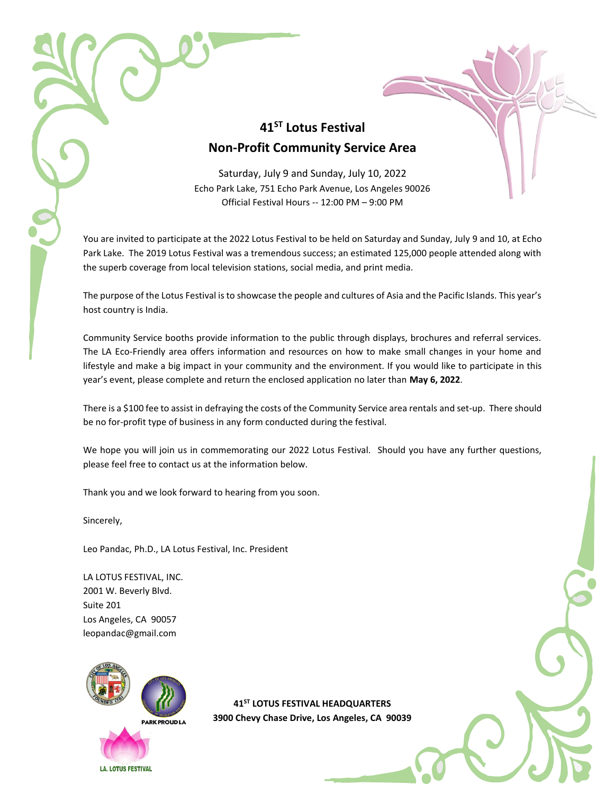## **41ST Lotus Festival Non-Profit Community Service Area**

Saturday, July 9 and Sunday, July 10, 2022 Echo Park Lake, 751 Echo Park Avenue, Los Angeles 90026 Official Festival Hours -- 12:00 PM – 9:00 PM

You are invited to participate at the 2022 Lotus Festival to be held on Saturday and Sunday, July 9 and 10, at Echo Park Lake. The 2019 Lotus Festival was a tremendous success; an estimated 125,000 people attended along with the superb coverage from local television stations, social media, and print media.

The purpose of the Lotus Festival is to showcase the people and cultures of Asia and the Pacific Islands. This year's host country is India.

Community Service booths provide information to the public through displays, brochures and referral services. The LA Eco-Friendly area offers information and resources on how to make small changes in your home and lifestyle and make a big impact in your community and the environment. If you would like to participate in this year's event, please complete and return the enclosed application no later than **May 6, 2022**.

There is a \$100 fee to assist in defraying the costs of the Community Service area rentals and set-up. There should be no for-profit type of business in any form conducted during the festival.

We hope you will join us in commemorating our 2022 Lotus Festival. Should you have any further questions, please feel free to contact us at the information below.

Thank you and we look forward to hearing from you soon.

Sincerely,

Leo Pandac, Ph.D., LA Lotus Festival, Inc. President

LA LOTUS FESTIVAL, INC. 2001 W. Beverly Blvd. Suite 201 Los Angeles, CA 90057 [leopandac@gmail.com](mailto:leopandac@gmail.com)



**41ST LOTUS FESTIVAL HEADQUARTERS 3900 Chevy Chase Drive, Los Angeles, CA 90039**